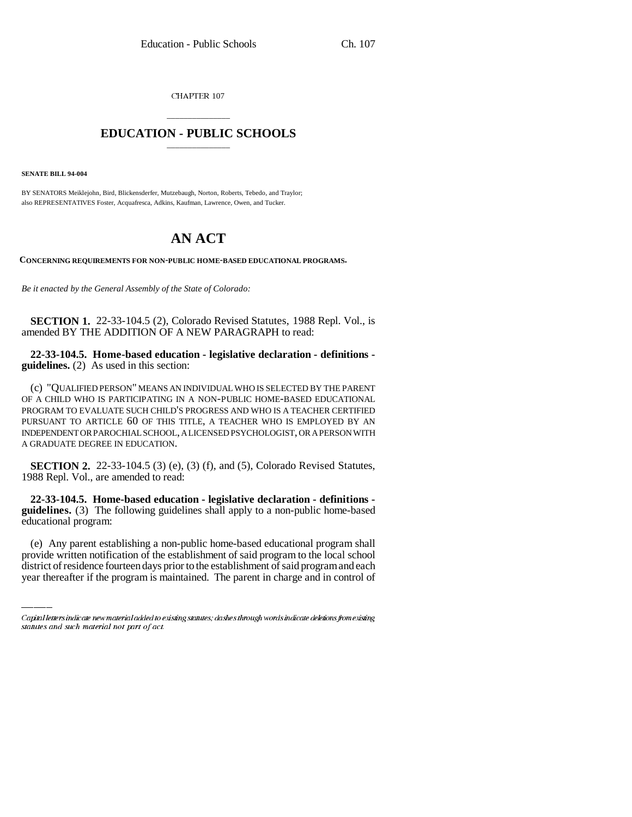CHAPTER 107

## \_\_\_\_\_\_\_\_\_\_\_\_\_\_\_ **EDUCATION - PUBLIC SCHOOLS** \_\_\_\_\_\_\_\_\_\_\_\_\_\_\_

**SENATE BILL 94-004**

BY SENATORS Meiklejohn, Bird, Blickensderfer, Mutzebaugh, Norton, Roberts, Tebedo, and Traylor; also REPRESENTATIVES Foster, Acquafresca, Adkins, Kaufman, Lawrence, Owen, and Tucker.

## **AN ACT**

**CONCERNING REQUIREMENTS FOR NON-PUBLIC HOME-BASED EDUCATIONAL PROGRAMS.**

*Be it enacted by the General Assembly of the State of Colorado:*

**SECTION 1.** 22-33-104.5 (2), Colorado Revised Statutes, 1988 Repl. Vol., is amended BY THE ADDITION OF A NEW PARAGRAPH to read:

**22-33-104.5. Home-based education - legislative declaration - definitions guidelines.** (2) As used in this section:

(c) "QUALIFIED PERSON" MEANS AN INDIVIDUAL WHO IS SELECTED BY THE PARENT OF A CHILD WHO IS PARTICIPATING IN A NON-PUBLIC HOME-BASED EDUCATIONAL PROGRAM TO EVALUATE SUCH CHILD'S PROGRESS AND WHO IS A TEACHER CERTIFIED PURSUANT TO ARTICLE 60 OF THIS TITLE, A TEACHER WHO IS EMPLOYED BY AN INDEPENDENT OR PAROCHIAL SCHOOL, A LICENSED PSYCHOLOGIST, OR A PERSON WITH A GRADUATE DEGREE IN EDUCATION.

**SECTION 2.** 22-33-104.5 (3) (e), (3) (f), and (5), Colorado Revised Statutes, 1988 Repl. Vol., are amended to read:

educational program: **22-33-104.5. Home-based education - legislative declaration - definitions guidelines.** (3) The following guidelines shall apply to a non-public home-based

(e) Any parent establishing a non-public home-based educational program shall provide written notification of the establishment of said program to the local school district of residence fourteen days prior to the establishment of said program and each year thereafter if the program is maintained. The parent in charge and in control of

Capital letters indicate new material added to existing statutes; dashes through words indicate deletions from existing statutes and such material not part of act.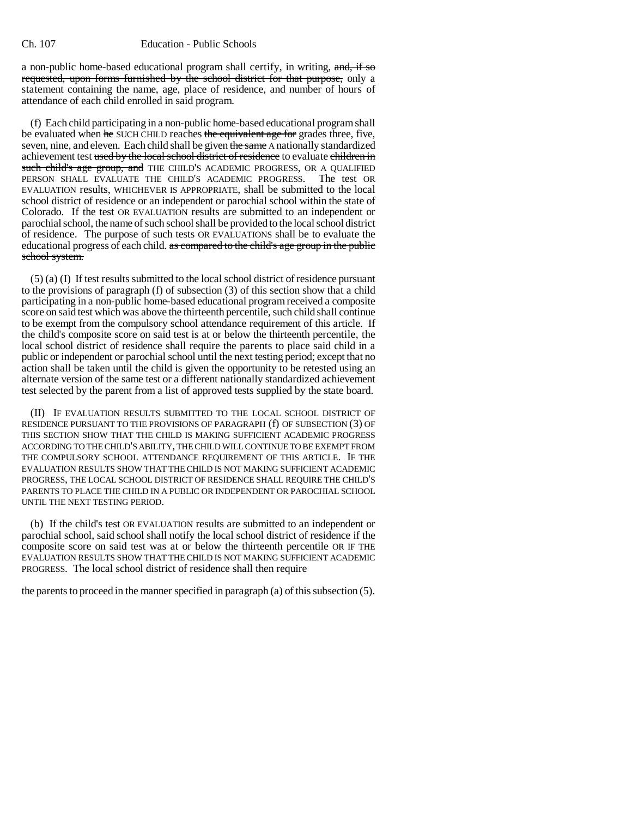## Ch. 107 Education - Public Schools

a non-public home-based educational program shall certify, in writing, and, if so requested, upon forms furnished by the school district for that purpose, only a statement containing the name, age, place of residence, and number of hours of attendance of each child enrolled in said program.

(f) Each child participating in a non-public home-based educational program shall be evaluated when he SUCH CHILD reaches the equivalent age for grades three, five, seven, nine, and eleven. Each child shall be given the same A nationally standardized achievement test used by the local school district of residence to evaluate children in such child's age group, and THE CHILD'S ACADEMIC PROGRESS, OR A QUALIFIED PERSON SHALL EVALUATE THE CHILD'S ACADEMIC PROGRESS. The test OR EVALUATION results, WHICHEVER IS APPROPRIATE, shall be submitted to the local school district of residence or an independent or parochial school within the state of Colorado. If the test OR EVALUATION results are submitted to an independent or parochial school, the name of such school shall be provided to the local school district of residence. The purpose of such tests OR EVALUATIONS shall be to evaluate the educational progress of each child. as compared to the child's age group in the public school system.

(5) (a) (I) If test results submitted to the local school district of residence pursuant to the provisions of paragraph (f) of subsection (3) of this section show that a child participating in a non-public home-based educational program received a composite score on said test which was above the thirteenth percentile, such child shall continue to be exempt from the compulsory school attendance requirement of this article. If the child's composite score on said test is at or below the thirteenth percentile, the local school district of residence shall require the parents to place said child in a public or independent or parochial school until the next testing period; except that no action shall be taken until the child is given the opportunity to be retested using an alternate version of the same test or a different nationally standardized achievement test selected by the parent from a list of approved tests supplied by the state board.

(II) IF EVALUATION RESULTS SUBMITTED TO THE LOCAL SCHOOL DISTRICT OF RESIDENCE PURSUANT TO THE PROVISIONS OF PARAGRAPH (f) OF SUBSECTION (3) OF THIS SECTION SHOW THAT THE CHILD IS MAKING SUFFICIENT ACADEMIC PROGRESS ACCORDING TO THE CHILD'S ABILITY, THE CHILD WILL CONTINUE TO BE EXEMPT FROM THE COMPULSORY SCHOOL ATTENDANCE REQUIREMENT OF THIS ARTICLE. IF THE EVALUATION RESULTS SHOW THAT THE CHILD IS NOT MAKING SUFFICIENT ACADEMIC PROGRESS, THE LOCAL SCHOOL DISTRICT OF RESIDENCE SHALL REQUIRE THE CHILD'S PARENTS TO PLACE THE CHILD IN A PUBLIC OR INDEPENDENT OR PAROCHIAL SCHOOL UNTIL THE NEXT TESTING PERIOD.

(b) If the child's test OR EVALUATION results are submitted to an independent or parochial school, said school shall notify the local school district of residence if the composite score on said test was at or below the thirteenth percentile OR IF THE EVALUATION RESULTS SHOW THAT THE CHILD IS NOT MAKING SUFFICIENT ACADEMIC PROGRESS. The local school district of residence shall then require

the parents to proceed in the manner specified in paragraph (a) of this subsection (5).